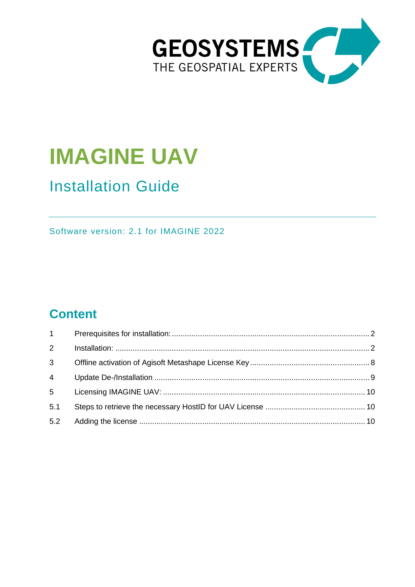

# **IMAGINE UAV**

# Installation Guide

Software version: 2.1 for IMAGINE 2022

# **Content**

| $1 \quad \blacksquare$ |  |
|------------------------|--|
| $\overline{2}$         |  |
| 3 <sup>7</sup>         |  |
| $\overline{4}$         |  |
| 5 <sup>1</sup>         |  |
| 5.1                    |  |
| 5.2                    |  |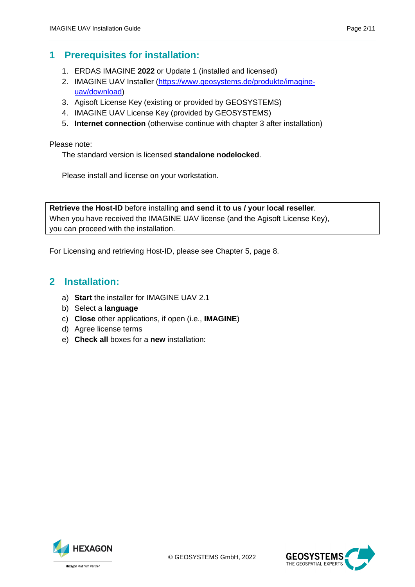## <span id="page-1-0"></span>**1 Prerequisites for installation:**

- 1. ERDAS IMAGINE **2022** or Update 1 (installed and licensed)
- 2. IMAGINE UAV Installer [\(https://www.geosystems.de/produkte/imagine](https://www.geosystems.de/produkte/imagine-uav/download)[uav/download\)](https://www.geosystems.de/produkte/imagine-uav/download)
- 3. Agisoft License Key (existing or provided by GEOSYSTEMS)
- 4. IMAGINE UAV License Key (provided by GEOSYSTEMS)
- 5. **Internet connection** (otherwise continue with chapter 3 after installation)

Please note:

The standard version is licensed **standalone nodelocked**.

Please install and license on your workstation.

**Retrieve the Host-ID** before installing **and send it to us / your local reseller**. When you have received the IMAGINE UAV license (and the Agisoft License Key), you can proceed with the installation.

<span id="page-1-1"></span>For Licensing and retrieving Host-ID, please see Chapter 5, page 8.

#### **2 Installation:**

- a) **Start** the installer for IMAGINE UAV 2.1
- b) Select a **language**
- c) **Close** other applications, if open (i.e., **IMAGINE**)
- d) Agree license terms
- e) **Check all** boxes for a **new** installation:



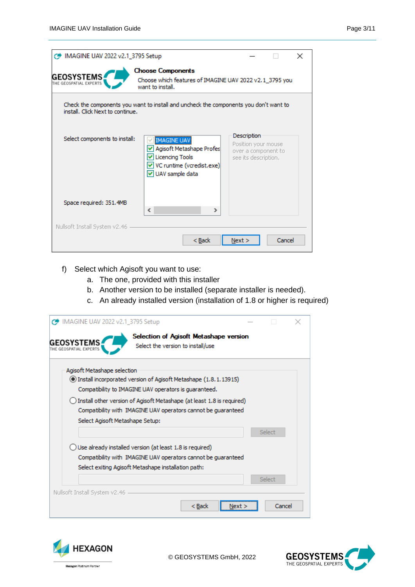| MAGINE UAV 2022 v2.1_3795 Setup             |                                                                                                                       |                                                                                   | ×      |  |
|---------------------------------------------|-----------------------------------------------------------------------------------------------------------------------|-----------------------------------------------------------------------------------|--------|--|
| <b>GEOSYSTEMS</b><br>THE GEOSPATIAL EXPERTS | <b>Choose Components</b><br>Choose which features of IMAGINE UAV 2022 v2.1_3795 you<br>want to install.               |                                                                                   |        |  |
| install. Click Next to continue.            | Check the components you want to install and uncheck the components you don't want to                                 |                                                                                   |        |  |
| Select components to install:               | <b>IMAGINE UAV</b><br>Agisoft Metashape Profes<br>Licencing Tools<br>V VC runtime (vcredist.exe)<br>V UAV sample data | Description<br>Position your mouse<br>over a component to<br>see its description. |        |  |
| Space required: 351.4MB                     | ∢<br>⋗                                                                                                                |                                                                                   |        |  |
| Nullsoft Install System v2.46               | < Back                                                                                                                | Next                                                                              | Cancel |  |

- f) Select which Agisoft you want to use:
	- a. The one, provided with this installer
	- b. Another version to be installed (separate installer is needed).
	- c. An already installed version (installation of 1.8 or higher is required)

| C IMAGINE UAV 2022 v2.1_3795 Setup     |                                                                                                                                        |        |  |
|----------------------------------------|----------------------------------------------------------------------------------------------------------------------------------------|--------|--|
| <b>GEOSYSTEMS</b><br>EOSPATIAL EXPERTS | Selection of Agisoft Metashape version<br>Select the version to install/use                                                            |        |  |
| Agisoft Metashape selection            | 1.8.1.13915) Install incorporated version of Agisoft Metashape (1.8.1.13915)                                                           |        |  |
|                                        | Compatibility to IMAGINE UAV operators is quaranteed.                                                                                  |        |  |
|                                        | Install other version of Agisoft Metashape (at least 1.8 is required)<br>Compatibility with IMAGINE UAV operators cannot be quaranteed |        |  |
| Select Agisoft Metashape Setup:        |                                                                                                                                        |        |  |
|                                        |                                                                                                                                        | Select |  |
|                                        | Use already installed version (at least 1.8 is required)                                                                               |        |  |
|                                        | Compatibility with IMAGINE UAV operators cannot be quaranteed                                                                          |        |  |
|                                        | Select exiting Agisoft Metashape installation path:                                                                                    |        |  |
|                                        |                                                                                                                                        | Select |  |
| Nullsoft Install System v2.46          |                                                                                                                                        |        |  |
|                                        | < Back                                                                                                                                 | Cancel |  |



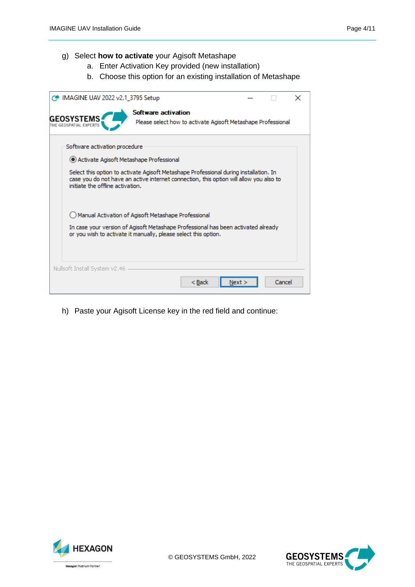#### g) Select **how to activate** your Agisoft Metashape

- a. Enter Activation Key provided (new installation)
- b. Choose this option for an existing installation of Metashape

| MAGINE UAV 2022 v2.1_3795 Setup                                                                                                                                                                                     |                     |                                                              |  |        | × |  |  |  |
|---------------------------------------------------------------------------------------------------------------------------------------------------------------------------------------------------------------------|---------------------|--------------------------------------------------------------|--|--------|---|--|--|--|
| <b>GEOSYSTEMS</b><br>THE GEOSPATIAL EXPERTS                                                                                                                                                                         | Software activation | Please select how to activate Agisoft Metashape Professional |  |        |   |  |  |  |
| Software activation procedure                                                                                                                                                                                       |                     |                                                              |  |        |   |  |  |  |
| Activate Agisoft Metashape Professional                                                                                                                                                                             |                     |                                                              |  |        |   |  |  |  |
| Select this option to activate Agisoft Metashape Professional during installation. In<br>case you do not have an active internet connection, this option will allow you also to<br>initiate the offline activation. |                     |                                                              |  |        |   |  |  |  |
| Manual Activation of Agisoft Metashape Professional                                                                                                                                                                 |                     |                                                              |  |        |   |  |  |  |
| In case your version of Agisoft Metashape Professional has been activated already<br>or you wish to activate it manually, please select this option.                                                                |                     |                                                              |  |        |   |  |  |  |
| Nullsoft Install System v2.46                                                                                                                                                                                       |                     |                                                              |  |        |   |  |  |  |
|                                                                                                                                                                                                                     |                     | < Back                                                       |  | Cancel |   |  |  |  |

h) Paste your Agisoft License key in the red field and continue:



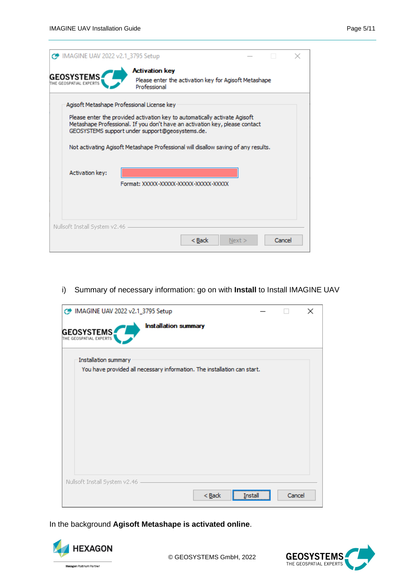| C IMAGINE UAV 2022 v2.1_3795 Setup                                                                                                                                                                                                                                                                                                               |                                       |                                                       |      |        |  |  |  |  |
|--------------------------------------------------------------------------------------------------------------------------------------------------------------------------------------------------------------------------------------------------------------------------------------------------------------------------------------------------|---------------------------------------|-------------------------------------------------------|------|--------|--|--|--|--|
| <b>GEOSYSTEMS</b><br>THE GEOSPATIAL EXPERTS                                                                                                                                                                                                                                                                                                      | <b>Activation key</b><br>Professional | Please enter the activation key for Agisoft Metashape |      |        |  |  |  |  |
| Agisoft Metashape Professional License key<br>Please enter the provided activation key to automatically activate Agisoft<br>Metashape Professional. If you don't have an activation key, please contact<br>GEOSYSTEMS support under support@geosystems.de.<br>Not activating Agisoft Metashape Professional will disallow saving of any results. |                                       |                                                       |      |        |  |  |  |  |
| <b>Activation key:</b><br>Format: XXXXX-XXXXX-XXXXX-XXXXX-XXXXX-XXXXX                                                                                                                                                                                                                                                                            |                                       |                                                       |      |        |  |  |  |  |
| Nullsoft Install System v2.46                                                                                                                                                                                                                                                                                                                    |                                       | $Back$                                                | Next | Cancel |  |  |  |  |

#### i) Summary of necessary information: go on with **Install** to Install IMAGINE UAV

| MAGINE UAV 2022 v2.1_3795 Setup                                          |        | $\times$ |
|--------------------------------------------------------------------------|--------|----------|
| <b>Installation summary</b><br>GEOSYSTEMS                                |        |          |
| Installation summary                                                     |        |          |
| You have provided all necessary information. The installation can start. |        |          |
|                                                                          |        |          |
|                                                                          |        |          |
|                                                                          |        |          |
|                                                                          |        |          |
|                                                                          |        |          |
|                                                                          |        |          |
|                                                                          |        |          |
| Nullsoft Install System v2.46                                            |        |          |
| $Back$<br>Install                                                        | Cancel |          |

In the background **Agisoft Metashape is activated online**.



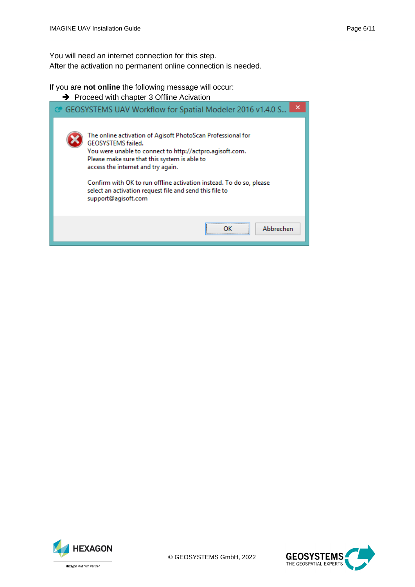You will need an internet connection for this step. After the activation no permanent online connection is needed.

If you are **not online** the following message will occur:

**→** Proceed with chapter 3 Offline Acivation

| GEOSYSTEMS UAV Workflow for Spatial Modeler 2016 v1.4.0 S                                                                                                                                                                                                                                                                                                                                    | × |
|----------------------------------------------------------------------------------------------------------------------------------------------------------------------------------------------------------------------------------------------------------------------------------------------------------------------------------------------------------------------------------------------|---|
| The online activation of Agisoft PhotoScan Professional for<br>GEOSYSTEMS failed.<br>You were unable to connect to http://actpro.agisoft.com.<br>Please make sure that this system is able to<br>access the internet and try again.<br>Confirm with OK to run offline activation instead. To do so, please<br>select an activation request file and send this file to<br>support@agisoft.com |   |
| Abbrechen                                                                                                                                                                                                                                                                                                                                                                                    |   |



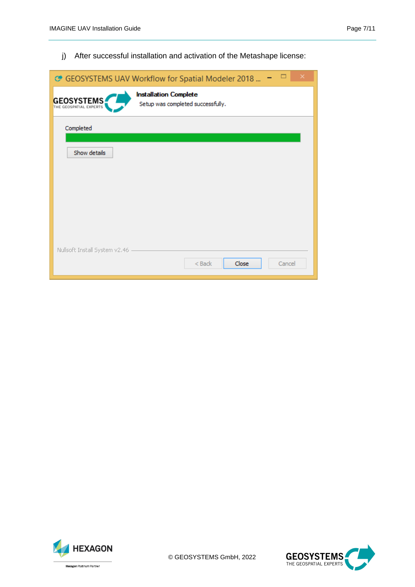j) After successful installation and activation of the Metashape license:

| ○ GEOSYSTEMS UAV Workflow for Spatial Modeler 2018 |                                                                   |  |        |  |  |  |  |  |
|----------------------------------------------------|-------------------------------------------------------------------|--|--------|--|--|--|--|--|
| <b>GEOSYSTEMS</b>                                  | <b>Installation Complete</b><br>Setup was completed successfully. |  |        |  |  |  |  |  |
| Completed                                          |                                                                   |  |        |  |  |  |  |  |
| Show details                                       |                                                                   |  |        |  |  |  |  |  |
|                                                    |                                                                   |  |        |  |  |  |  |  |
|                                                    |                                                                   |  |        |  |  |  |  |  |
|                                                    |                                                                   |  |        |  |  |  |  |  |
| Nullsoft Install System v2.46                      |                                                                   |  |        |  |  |  |  |  |
|                                                    | Close<br>$<$ Back                                                 |  | Cancel |  |  |  |  |  |



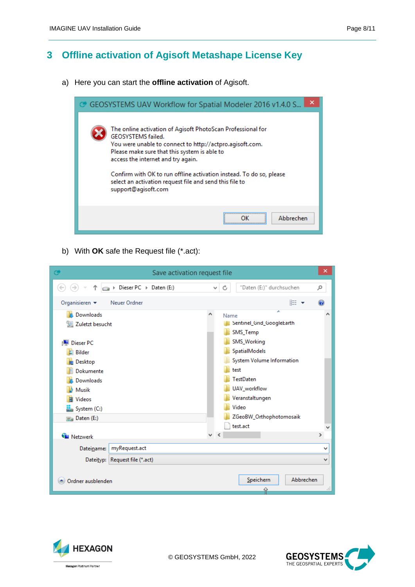## <span id="page-7-0"></span>**3 Offline activation of Agisoft Metashape License Key**

a) Here you can start the **offline activation** of Agisoft.



b) With **OK** safe the Request file (\*.act):

| G                                                                                                        | Save activation request file                    |   |                   |                                                                                                                              |   |           |               | ×  |
|----------------------------------------------------------------------------------------------------------|-------------------------------------------------|---|-------------------|------------------------------------------------------------------------------------------------------------------------------|---|-----------|---------------|----|
|                                                                                                          | > Dieser PC > Daten (E:)                        |   | C<br>v            | "Daten (E:)" durchsuchen                                                                                                     |   |           | مر            |    |
| Organisieren v                                                                                           | Neuer Ordner                                    |   |                   |                                                                                                                              |   | 睚 ▼       | $\circledast$ |    |
| <b>In</b> . Downloads<br>Zuletzt besucht<br><b>Dieser PC</b><br>Bilder                                   |                                                 | Α | Name              | Sentinel_Grid_GoogleEarth<br>SMS_Temp<br>SMS_Working<br>SpatialModels                                                        | ۰ |           |               | Α  |
| Desktop<br>Dokumente<br>Downloads<br>Musik<br><b>Videos</b><br>國<br>System (C:)<br><b>Ria</b> Daten (E:) |                                                 |   |                   | System Volume Information<br>test<br><b>TestDaten</b><br>UAV_workflow<br>Veranstaltungen<br>Video<br>ZGeoBW_Orthophotomosaik |   |           |               |    |
| <b>G</b> Netzwerk                                                                                        |                                                 |   | $\times$ $\times$ | test.act                                                                                                                     |   |           | $\,$          | ٧  |
| Dateiname:                                                                                               | myRequest.act<br>Dateityp: Request file (*.act) |   |                   |                                                                                                                              |   |           | v<br>٧        |    |
| Ordner ausblenden                                                                                        |                                                 |   |                   | Speichern                                                                                                                    |   | Abbrechen |               | Æ. |



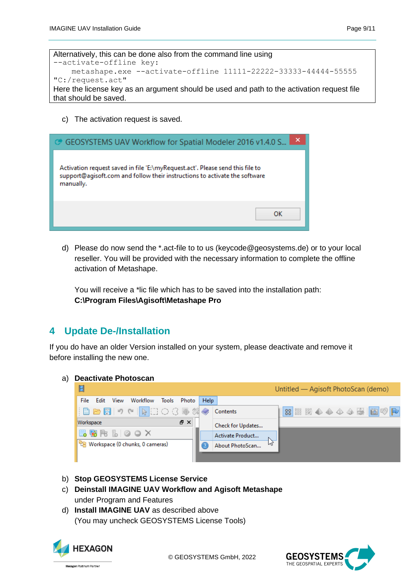c) The activation request is saved.



d) Please do now send the \*.act-file to to us [\(keycode@geosystems.de\)](mailto:keycode@geosystems.de) or to your local reseller. You will be provided with the necessary information to complete the offline activation of Metashape.

You will receive a \*lic file which has to be saved into the installation path: **C:\Program Files\Agisoft\Metashape Pro**

## <span id="page-8-0"></span>**4 Update De-/Installation**

If you do have an older Version installed on your system, please deactivate and remove it before installing the new one.

| a) |                                                |      |      | <b>Deactivate Photoscan</b>                           |       |                 |                  |                   |                                     |  |  |                            |
|----|------------------------------------------------|------|------|-------------------------------------------------------|-------|-----------------|------------------|-------------------|-------------------------------------|--|--|----------------------------|
|    | H                                              |      |      |                                                       |       |                 |                  |                   | Untitled — Agisoft PhotoScan (demo) |  |  |                            |
|    | File                                           | Edit | View | Workflow                                              | Tools | Photo           | <b>Help</b>      |                   |                                     |  |  |                            |
|    |                                                |      |      | $  D - B   \rightarrow 0$ , $  D - C   \rightarrow 0$ |       |                 |                  | Contents          |                                     |  |  | 88 88 58 4 4 4 4 5 5 6 7 P |
|    | Workspace                                      |      |      |                                                       |       | 日 ×             |                  | Check for Updates |                                     |  |  |                            |
|    | 3 电 PB B O O X                                 |      |      |                                                       |       |                 | Activate Product |                   |                                     |  |  |                            |
|    | <sup>它</sup> 图 Workspace (0 chunks, 0 cameras) |      |      |                                                       |       | About PhotoScan |                  |                   |                                     |  |  |                            |
|    |                                                |      |      |                                                       |       |                 |                  |                   |                                     |  |  |                            |

- b) **Stop GEOSYSTEMS License Service**
- c) **Deinstall IMAGINE UAV Workflow and Agisoft Metashape** under Program and Features
- d) **Install IMAGINE UAV** as described above (You may uncheck GEOSYSTEMS License Tools)



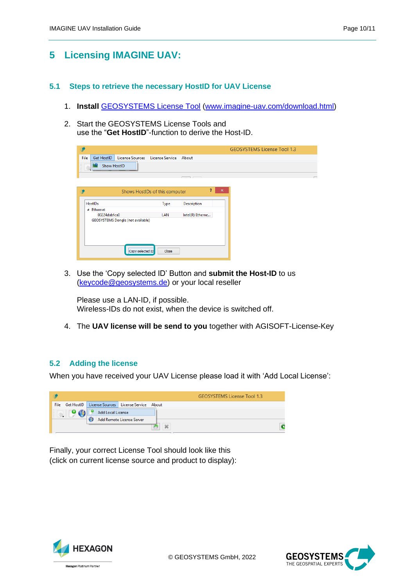# <span id="page-9-0"></span>**5 Licensing IMAGINE UAV:**

#### <span id="page-9-1"></span>**5.1 Steps to retrieve the necessary HostID for UAV License**

- 1. **Install** [GEOSYSTEMS License Tool](https://www.geosystems.de/fileadmin/redaktion/Software/Licensing/gs_LicenseTools_setup_1_4.zip) [\(www.imagine-uav.com/download.html\)](http://www.imagine-uav.com/download.html)
- 2. Start the GEOSYSTEMS License Tools and use the "**Get HostID**"-function to derive the Host-ID.

|                                                             |       |                    | <b>GEOSYSTEMS License Tool 1.3</b> |
|-------------------------------------------------------------|-------|--------------------|------------------------------------|
| File<br>License Sources License Service About<br>Get HostID |       |                    |                                    |
| <b>Show HostID</b>                                          |       |                    |                                    |
|                                                             |       |                    |                                    |
|                                                             |       |                    |                                    |
| Shows HostIDs of this computer                              |       | ?<br>$\times$      |                                    |
| HostIDs                                                     | Type  | <b>Description</b> |                                    |
| 4 Ethernet                                                  |       |                    |                                    |
| 00224dabfca0                                                | LAN   | Intel(R) Etherne   |                                    |
| <b>GEOSYSTEMS Dongle (not available)</b>                    |       |                    |                                    |
| Copy selected ID                                            | Close |                    |                                    |

3. Use the 'Copy selected ID' Button and **submit the Host-ID** to us [\(keycode@geosystems.de\)](mailto:keycode@geosystems.de) or your local reseller

Please use a LAN-ID, if possible. Wireless-IDs do not exist, when the device is switched off.

4. The **UAV license will be send to you** together with AGISOFT-License-Key

#### <span id="page-9-2"></span>**5.2 Adding the license**

When you have received your UAV License please load it with 'Add Local License':

|      |            |    |                   |                                           | <b>GEOSYSTEMS License Tool 1.3</b> |
|------|------------|----|-------------------|-------------------------------------------|------------------------------------|
| File | Get HostID |    |                   | License Sources   License Service   About |                                    |
|      |            |    | Add Local License |                                           |                                    |
|      |            | 65 |                   | Add Remote License Server                 |                                    |
|      |            |    |                   |                                           | $\mathcal{L}$                      |

Finally, your correct License Tool should look like this (click on current license source and product to display):